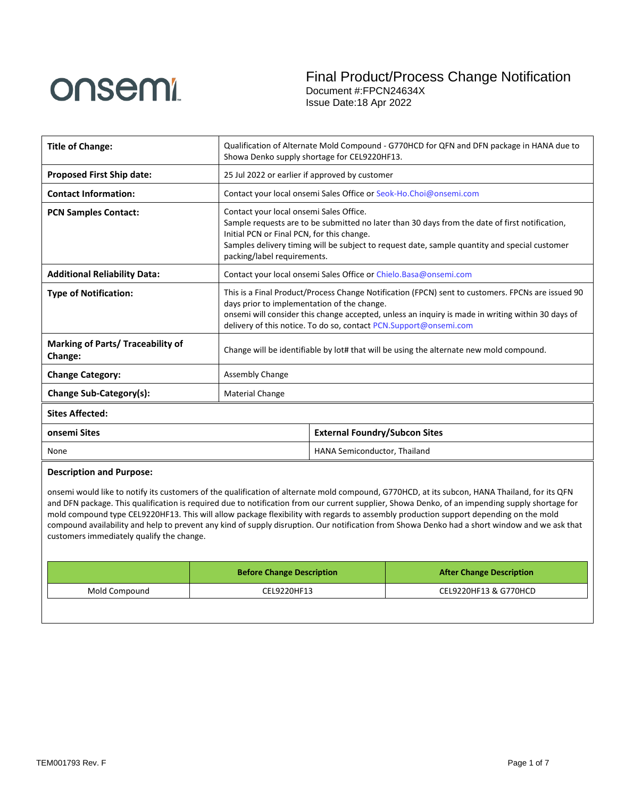

| <b>Title of Change:</b>                             | Qualification of Alternate Mold Compound - G770HCD for QFN and DFN package in HANA due to<br>Showa Denko supply shortage for CEL9220HF13.                                                                                                                                                                                  |                                                                   |  |
|-----------------------------------------------------|----------------------------------------------------------------------------------------------------------------------------------------------------------------------------------------------------------------------------------------------------------------------------------------------------------------------------|-------------------------------------------------------------------|--|
| <b>Proposed First Ship date:</b>                    | 25 Jul 2022 or earlier if approved by customer                                                                                                                                                                                                                                                                             |                                                                   |  |
| <b>Contact Information:</b>                         |                                                                                                                                                                                                                                                                                                                            | Contact your local onsemi Sales Office or Seok-Ho.Choi@onsemi.com |  |
| <b>PCN Samples Contact:</b>                         | Contact your local onsemi Sales Office.<br>Sample requests are to be submitted no later than 30 days from the date of first notification,<br>Initial PCN or Final PCN, for this change.<br>Samples delivery timing will be subject to request date, sample quantity and special customer<br>packing/label requirements.    |                                                                   |  |
| <b>Additional Reliability Data:</b>                 | Contact your local onsemi Sales Office or Chielo.Basa@onsemi.com                                                                                                                                                                                                                                                           |                                                                   |  |
| <b>Type of Notification:</b>                        | This is a Final Product/Process Change Notification (FPCN) sent to customers. FPCNs are issued 90<br>days prior to implementation of the change.<br>onsemi will consider this change accepted, unless an inquiry is made in writing within 30 days of<br>delivery of this notice. To do so, contact PCN.Support@onsemi.com |                                                                   |  |
| <b>Marking of Parts/ Traceability of</b><br>Change: | Change will be identifiable by lot# that will be using the alternate new mold compound.                                                                                                                                                                                                                                    |                                                                   |  |
| <b>Change Category:</b>                             | Assembly Change                                                                                                                                                                                                                                                                                                            |                                                                   |  |
| Change Sub-Category(s):                             | <b>Material Change</b>                                                                                                                                                                                                                                                                                                     |                                                                   |  |
| <b>Sites Affected:</b>                              |                                                                                                                                                                                                                                                                                                                            |                                                                   |  |
| onsemi Sites                                        | <b>External Foundry/Subcon Sites</b>                                                                                                                                                                                                                                                                                       |                                                                   |  |
| None                                                | HANA Semiconductor, Thailand                                                                                                                                                                                                                                                                                               |                                                                   |  |
| <b>Description and Purpose:</b>                     |                                                                                                                                                                                                                                                                                                                            |                                                                   |  |

### onsemi would like to notify its customers of the qualification of alternate mold compound, G770HCD, at its subcon, HANA Thailand, for its QFN and DFN package. This qualification is required due to notification from our current supplier, Showa Denko, of an impending supply shortage for mold compound type CEL9220HF13. This will allow package flexibility with regards to assembly production support depending on the mold compound availability and help to prevent any kind of supply disruption. Our notification from Showa Denko had a short window and we ask that customers immediately qualify the change.

|               | <b>Before Change Description</b> | <b>After Change Description</b> |
|---------------|----------------------------------|---------------------------------|
| Mold Compound | CEL9220HF13                      | CEL9220HF13 & G770HCD           |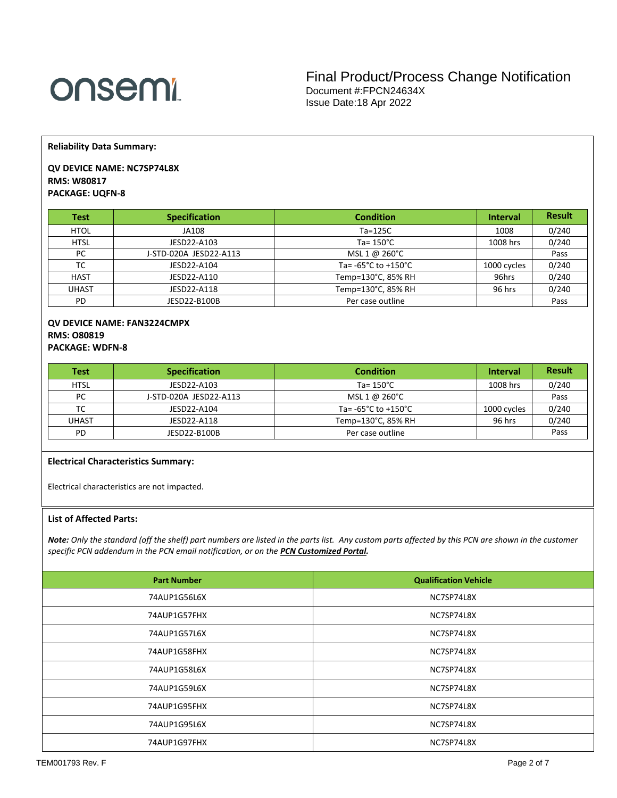# onsem!

**Reliability Data Summary:** 

# **QV DEVICE NAME: NC7SP74L8X RMS: W80817 PACKAGE: UQFN-8**

| <b>Test</b> | <b>Specification</b>   | <b>Condition</b>                        | <b>Interval</b> | <b>Result</b> |
|-------------|------------------------|-----------------------------------------|-----------------|---------------|
| <b>HTOL</b> | JA108                  | $Ta=125C$                               | 1008            | 0/240         |
| <b>HTSL</b> | JESD22-A103            | Ta= $150^{\circ}$ C                     | 1008 hrs        | 0/240         |
| PC          | J-STD-020A JESD22-A113 | MSL 1 @ 260°C                           |                 | Pass          |
| TC          | JESD22-A104            | Ta= $-65^{\circ}$ C to $+150^{\circ}$ C | 1000 cycles     | 0/240         |
| <b>HAST</b> | JESD22-A110            | Temp=130°C, 85% RH                      | 96hrs           | 0/240         |
| UHAST       | JESD22-A118            | Temp=130°C, 85% RH                      | 96 hrs          | 0/240         |
| PD          | JESD22-B100B           | Per case outline                        |                 | Pass          |

# **QV DEVICE NAME: FAN3224CMPX RMS: O80819 PACKAGE: WDFN-8**

| <b>Test</b> | <b>Specification</b>   | <b>Condition</b>                        | <b>Interval</b> | <b>Result</b> |
|-------------|------------------------|-----------------------------------------|-----------------|---------------|
| <b>HTSL</b> | JESD22-A103            | Ta= $150^{\circ}$ C                     | 1008 hrs        | 0/240         |
| PC          | J-STD-020A JESD22-A113 | MSL 1 @ 260°C                           |                 | Pass          |
| тс          | JESD22-A104            | Ta= $-65^{\circ}$ C to $+150^{\circ}$ C | 1000 cycles     | 0/240         |
| UHAST       | JESD22-A118            | Temp=130°C, 85% RH                      | 96 hrs          | 0/240         |
| PD          | JESD22-B100B           | Per case outline                        |                 | Pass          |

# **Electrical Characteristics Summary:**

Electrical characteristics are not impacted.

### **List of Affected Parts:**

*Note: Only the standard (off the shelf) part numbers are listed in the parts list. Any custom parts affected by this PCN are shown in the customer specific PCN addendum in the PCN email notification, or on the [PCN Customized Portal.](https://www.onsemi.com/PowerSolutions/pcn.do)*

| <b>Part Number</b> | <b>Qualification Vehicle</b> |
|--------------------|------------------------------|
| 74AUP1G56L6X       | NC7SP74L8X                   |
| 74AUP1G57FHX       | NC7SP74L8X                   |
| 74AUP1G57L6X       | NC7SP74L8X                   |
| 74AUP1G58FHX       | NC7SP74L8X                   |
| 74AUP1G58L6X       | NC7SP74L8X                   |
| 74AUP1G59L6X       | NC7SP74L8X                   |
| 74AUP1G95FHX       | NC7SP74L8X                   |
| 74AUP1G95L6X       | NC7SP74L8X                   |
| 74AUP1G97FHX       | NC7SP74L8X                   |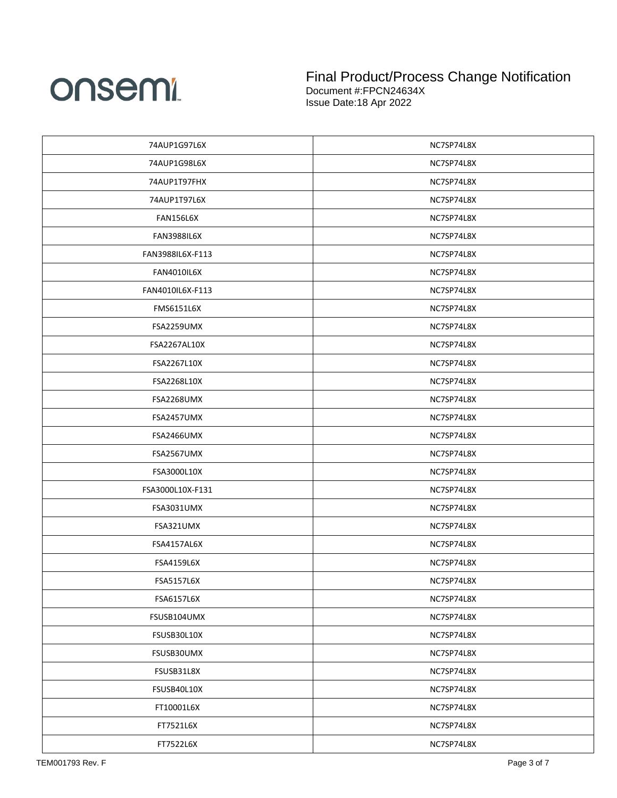

| 74AUP1G97L6X       | NC7SP74L8X |
|--------------------|------------|
| 74AUP1G98L6X       | NC7SP74L8X |
| 74AUP1T97FHX       | NC7SP74L8X |
| 74AUP1T97L6X       | NC7SP74L8X |
| FAN156L6X          | NC7SP74L8X |
| <b>FAN3988IL6X</b> | NC7SP74L8X |
| FAN3988IL6X-F113   | NC7SP74L8X |
| <b>FAN4010IL6X</b> | NC7SP74L8X |
| FAN4010IL6X-F113   | NC7SP74L8X |
| <b>FMS6151L6X</b>  | NC7SP74L8X |
| FSA2259UMX         | NC7SP74L8X |
| FSA2267AL10X       | NC7SP74L8X |
| FSA2267L10X        | NC7SP74L8X |
| FSA2268L10X        | NC7SP74L8X |
| FSA2268UMX         | NC7SP74L8X |
| FSA2457UMX         | NC7SP74L8X |
| FSA2466UMX         | NC7SP74L8X |
| FSA2567UMX         | NC7SP74L8X |
| FSA3000L10X        | NC7SP74L8X |
| FSA3000L10X-F131   | NC7SP74L8X |
| FSA3031UMX         | NC7SP74L8X |
| FSA321UMX          | NC7SP74L8X |
| FSA4157AL6X        | NC7SP74L8X |
| FSA4159L6X         | NC7SP74L8X |
| <b>FSA5157L6X</b>  | NC7SP74L8X |
| FSA6157L6X         | NC7SP74L8X |
| FSUSB104UMX        | NC7SP74L8X |
| FSUSB30L10X        | NC7SP74L8X |
| FSUSB30UMX         | NC7SP74L8X |
| FSUSB31L8X         | NC7SP74L8X |
| FSUSB40L10X        | NC7SP74L8X |
| FT10001L6X         | NC7SP74L8X |
| FT7521L6X          | NC7SP74L8X |
| FT7522L6X          | NC7SP74L8X |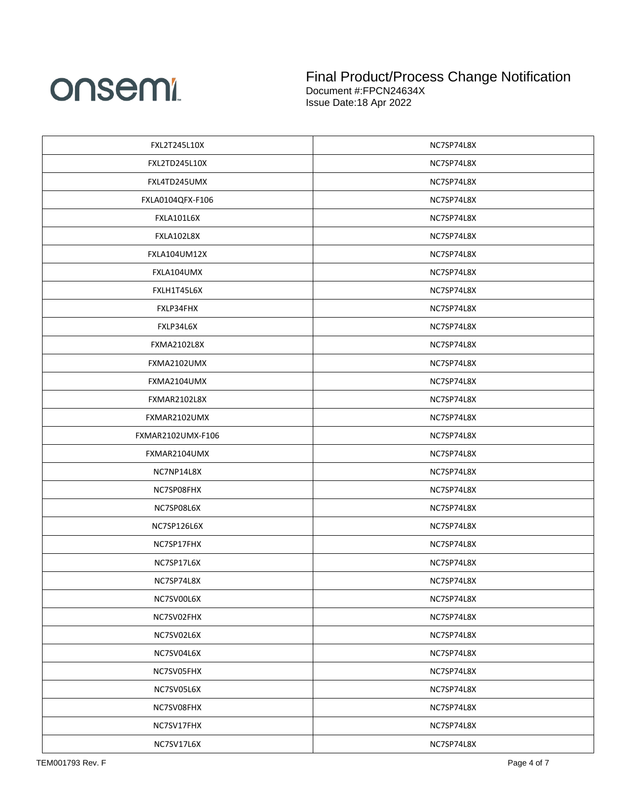

| FXL2T245L10X       | NC7SP74L8X |
|--------------------|------------|
| FXL2TD245L10X      | NC7SP74L8X |
| FXL4TD245UMX       | NC7SP74L8X |
| FXLA0104QFX-F106   | NC7SP74L8X |
| <b>FXLA101L6X</b>  | NC7SP74L8X |
| FXLA102L8X         | NC7SP74L8X |
| FXLA104UM12X       | NC7SP74L8X |
| FXLA104UMX         | NC7SP74L8X |
| FXLH1T45L6X        | NC7SP74L8X |
| FXLP34FHX          | NC7SP74L8X |
| FXLP34L6X          | NC7SP74L8X |
| <b>FXMA2102L8X</b> | NC7SP74L8X |
| FXMA2102UMX        | NC7SP74L8X |
| FXMA2104UMX        | NC7SP74L8X |
| FXMAR2102L8X       | NC7SP74L8X |
| FXMAR2102UMX       | NC7SP74L8X |
| FXMAR2102UMX-F106  | NC7SP74L8X |
| FXMAR2104UMX       | NC7SP74L8X |
| NC7NP14L8X         | NC7SP74L8X |
| NC7SP08FHX         | NC7SP74L8X |
| NC7SP08L6X         | NC7SP74L8X |
| NC7SP126L6X        | NC7SP74L8X |
| NC7SP17FHX         | NC7SP74L8X |
| NC7SP17L6X         | NC7SP74L8X |
| NC7SP74L8X         | NC7SP74L8X |
| NC7SV00L6X         | NC7SP74L8X |
| NC7SV02FHX         | NC7SP74L8X |
| NC7SV02L6X         | NC7SP74L8X |
| NC7SV04L6X         | NC7SP74L8X |
| NC7SV05FHX         | NC7SP74L8X |
| NC7SV05L6X         | NC7SP74L8X |
| NC7SV08FHX         | NC7SP74L8X |
| NC7SV17FHX         | NC7SP74L8X |
| NC7SV17L6X         | NC7SP74L8X |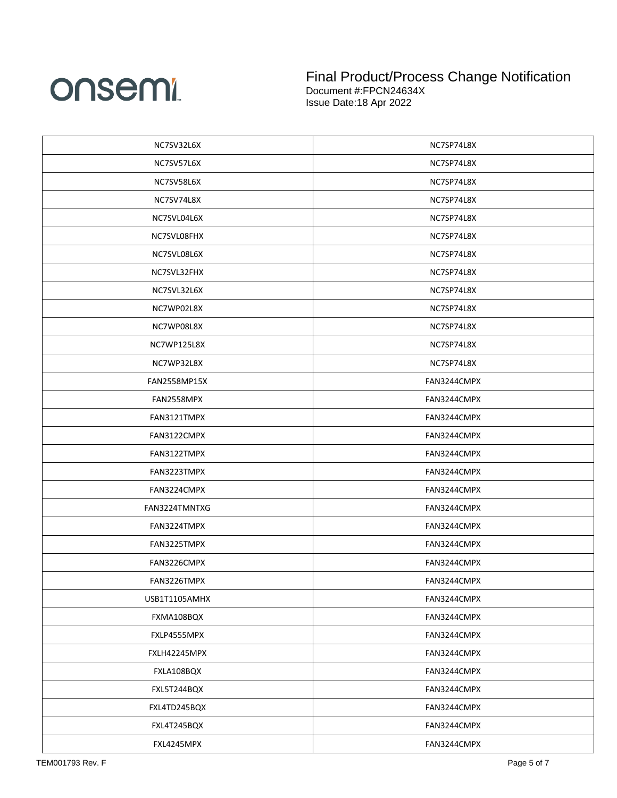

| NC7SV32L6X    | NC7SP74L8X  |
|---------------|-------------|
| NC7SV57L6X    | NC7SP74L8X  |
| NC7SV58L6X    | NC7SP74L8X  |
| NC7SV74L8X    | NC7SP74L8X  |
| NC7SVL04L6X   | NC7SP74L8X  |
| NC7SVL08FHX   | NC7SP74L8X  |
| NC7SVL08L6X   | NC7SP74L8X  |
| NC7SVL32FHX   | NC7SP74L8X  |
| NC7SVL32L6X   | NC7SP74L8X  |
| NC7WP02L8X    | NC7SP74L8X  |
| NC7WP08L8X    | NC7SP74L8X  |
| NC7WP125L8X   | NC7SP74L8X  |
| NC7WP32L8X    | NC7SP74L8X  |
| FAN2558MP15X  | FAN3244CMPX |
| FAN2558MPX    | FAN3244CMPX |
| FAN3121TMPX   | FAN3244CMPX |
| FAN3122CMPX   | FAN3244CMPX |
| FAN3122TMPX   | FAN3244CMPX |
| FAN3223TMPX   | FAN3244CMPX |
| FAN3224CMPX   | FAN3244CMPX |
| FAN3224TMNTXG | FAN3244CMPX |
| FAN3224TMPX   | FAN3244CMPX |
| FAN3225TMPX   | FAN3244CMPX |
| FAN3226CMPX   | FAN3244CMPX |
| FAN3226TMPX   | FAN3244CMPX |
| USB1T1105AMHX | FAN3244CMPX |
| FXMA108BQX    | FAN3244CMPX |
| FXLP4555MPX   | FAN3244CMPX |
| FXLH42245MPX  | FAN3244CMPX |
| FXLA108BQX    | FAN3244CMPX |
| FXL5T244BQX   | FAN3244CMPX |
| FXL4TD245BQX  | FAN3244CMPX |
| FXL4T245BQX   | FAN3244CMPX |
| FXL4245MPX    | FAN3244CMPX |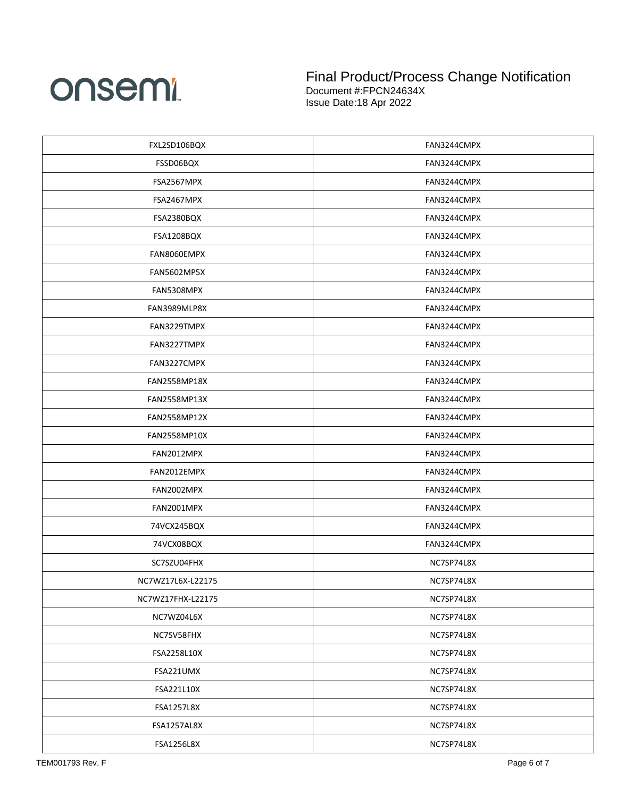

| FXL2SD106BQX       | FAN3244CMPX |
|--------------------|-------------|
| FSSD06BQX          | FAN3244CMPX |
| FSA2567MPX         | FAN3244CMPX |
| FSA2467MPX         | FAN3244CMPX |
| FSA2380BQX         | FAN3244CMPX |
| FSA1208BQX         | FAN3244CMPX |
| FAN8060EMPX        | FAN3244CMPX |
| <b>FAN5602MP5X</b> | FAN3244CMPX |
| FAN5308MPX         | FAN3244CMPX |
| FAN3989MLP8X       | FAN3244CMPX |
| FAN3229TMPX        | FAN3244CMPX |
| FAN3227TMPX        | FAN3244CMPX |
| FAN3227CMPX        | FAN3244CMPX |
| FAN2558MP18X       | FAN3244CMPX |
| FAN2558MP13X       | FAN3244CMPX |
| FAN2558MP12X       | FAN3244CMPX |
| FAN2558MP10X       | FAN3244CMPX |
| FAN2012MPX         | FAN3244CMPX |
| FAN2012EMPX        | FAN3244CMPX |
| FAN2002MPX         | FAN3244CMPX |
| FAN2001MPX         | FAN3244CMPX |
| 74VCX245BQX        | FAN3244CMPX |
| 74VCX08BQX         | FAN3244CMPX |
| SC7SZU04FHX        | NC7SP74L8X  |
| NC7WZ17L6X-L22175  | NC7SP74L8X  |
| NC7WZ17FHX-L22175  | NC7SP74L8X  |
| NC7WZ04L6X         | NC7SP74L8X  |
| NC7SV58FHX         | NC7SP74L8X  |
| FSA2258L10X        | NC7SP74L8X  |
| FSA221UMX          | NC7SP74L8X  |
| FSA221L10X         | NC7SP74L8X  |
| FSA1257L8X         | NC7SP74L8X  |
| FSA1257AL8X        | NC7SP74L8X  |
| FSA1256L8X         | NC7SP74L8X  |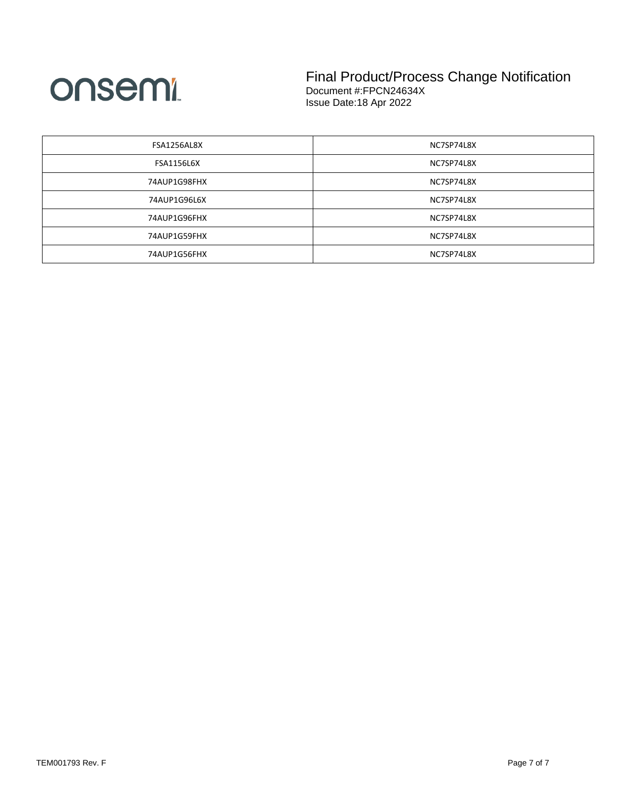

| FSA1256AL8X       | NC7SP74L8X |
|-------------------|------------|
| <b>FSA1156L6X</b> | NC7SP74L8X |
| 74AUP1G98FHX      | NC7SP74L8X |
| 74AUP1G96L6X      | NC7SP74L8X |
| 74AUP1G96FHX      | NC7SP74L8X |
| 74AUP1G59FHX      | NC7SP74L8X |
| 74AUP1G56FHX      | NC7SP74L8X |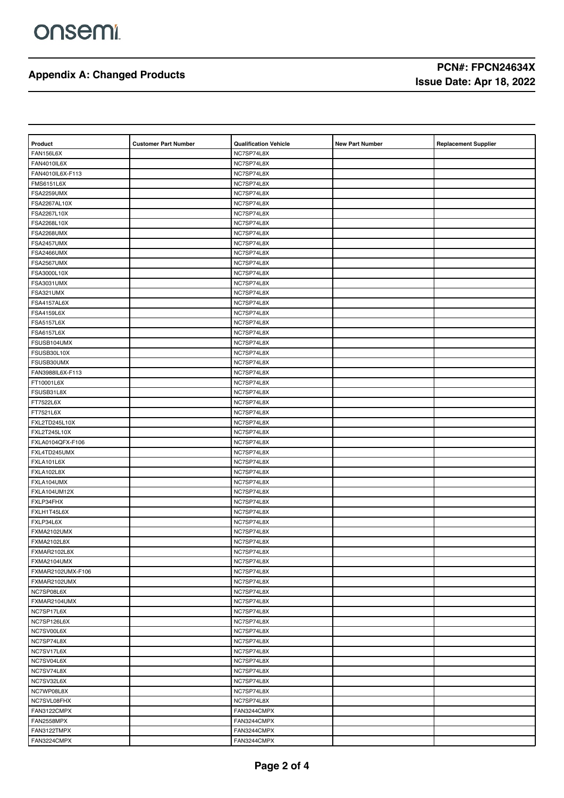| Product             | <b>Customer Part Number</b> | <b>Qualification Vehicle</b> | <b>New Part Number</b> | <b>Replacement Supplier</b> |
|---------------------|-----------------------------|------------------------------|------------------------|-----------------------------|
| <b>FAN156L6X</b>    |                             | NC7SP74L8X                   |                        |                             |
| FAN4010IL6X         |                             | NC7SP74L8X                   |                        |                             |
| FAN4010IL6X-F113    |                             | NC7SP74L8X                   |                        |                             |
| <b>FMS6151L6X</b>   |                             | NC7SP74L8X                   |                        |                             |
| <b>FSA2259UMX</b>   |                             | NC7SP74L8X                   |                        |                             |
| FSA2267AL10X        |                             | NC7SP74L8X                   |                        |                             |
| FSA2267L10X         |                             | NC7SP74L8X                   |                        |                             |
| FSA2268L10X         |                             | NC7SP74L8X                   |                        |                             |
| <b>FSA2268UMX</b>   |                             | NC7SP74L8X                   |                        |                             |
| FSA2457UMX          |                             | NC7SP74L8X                   |                        |                             |
| FSA2466UMX          |                             | NC7SP74L8X                   |                        |                             |
| FSA2567UMX          |                             | NC7SP74L8X                   |                        |                             |
| FSA3000L10X         |                             | NC7SP74L8X                   |                        |                             |
| <b>FSA3031UMX</b>   |                             | NC7SP74L8X                   |                        |                             |
| FSA321UMX           |                             | NC7SP74L8X                   |                        |                             |
| FSA4157AL6X         |                             | NC7SP74L8X                   |                        |                             |
| <b>FSA4159L6X</b>   |                             | NC7SP74L8X                   |                        |                             |
| <b>FSA5157L6X</b>   |                             | NC7SP74L8X                   |                        |                             |
| <b>FSA6157L6X</b>   |                             | NC7SP74L8X                   |                        |                             |
| FSUSB104UMX         |                             | NC7SP74L8X                   |                        |                             |
| FSUSB30L10X         |                             | NC7SP74L8X                   |                        |                             |
| FSUSB30UMX          |                             | NC7SP74L8X                   |                        |                             |
| FAN3988IL6X-F113    |                             | NC7SP74L8X                   |                        |                             |
| FT10001L6X          |                             | NC7SP74L8X                   |                        |                             |
| FSUSB31L8X          |                             | NC7SP74L8X                   |                        |                             |
| FT7522L6X           |                             | NC7SP74L8X                   |                        |                             |
| FT7521L6X           |                             | NC7SP74L8X                   |                        |                             |
| FXL2TD245L10X       |                             | NC7SP74L8X                   |                        |                             |
| <b>FXL2T245L10X</b> |                             | NC7SP74L8X                   |                        |                             |
| FXLA0104QFX-F106    |                             | NC7SP74L8X                   |                        |                             |
| FXL4TD245UMX        |                             | NC7SP74L8X                   |                        |                             |
| FXLA101L6X          |                             | NC7SP74L8X                   |                        |                             |
| FXLA102L8X          |                             | NC7SP74L8X                   |                        |                             |
| FXLA104UMX          |                             | NC7SP74L8X                   |                        |                             |
| FXLA104UM12X        |                             | NC7SP74L8X                   |                        |                             |
| FXLP34FHX           |                             | NC7SP74L8X                   |                        |                             |
| FXLH1T45L6X         |                             | NC7SP74L8X                   |                        |                             |
| FXLP34L6X           |                             | NC7SP74L8X                   |                        |                             |
| FXMA2102UMX         |                             | NC7SP74L8X                   |                        |                             |
| <b>FXMA2102L8X</b>  |                             | NC7SP74L8X                   |                        |                             |
| FXMAR2102L8X        |                             | NC7SP74L8X                   |                        |                             |
| FXMA2104UMX         |                             | NC7SP74L8X                   |                        |                             |
| FXMAR2102UMX-F106   |                             | NC7SP74L8X                   |                        |                             |
| FXMAR2102UMX        |                             | NC7SP74L8X                   |                        |                             |
| NC7SP08L6X          |                             | NC7SP74L8X                   |                        |                             |
| FXMAR2104UMX        |                             | NC7SP74L8X                   |                        |                             |
| NC7SP17L6X          |                             | NC7SP74L8X                   |                        |                             |
| NC7SP126L6X         |                             | NC7SP74L8X                   |                        |                             |
| NC7SV00L6X          |                             | NC7SP74L8X                   |                        |                             |
| NC7SP74L8X          |                             | NC7SP74L8X                   |                        |                             |
| NC7SV17L6X          |                             | NC7SP74L8X                   |                        |                             |
| NC7SV04L6X          |                             | NC7SP74L8X                   |                        |                             |
| NC7SV74L8X          |                             | NC7SP74L8X                   |                        |                             |
| NC7SV32L6X          |                             | NC7SP74L8X                   |                        |                             |
| NC7WP08L8X          |                             | NC7SP74L8X                   |                        |                             |
| NC7SVL08FHX         |                             | NC7SP74L8X                   |                        |                             |
| FAN3122CMPX         |                             | FAN3244CMPX                  |                        |                             |
| FAN2558MPX          |                             | FAN3244CMPX                  |                        |                             |
| FAN3122TMPX         |                             | FAN3244CMPX                  |                        |                             |
| FAN3224CMPX         |                             | FAN3244CMPX                  |                        |                             |
|                     |                             |                              |                        |                             |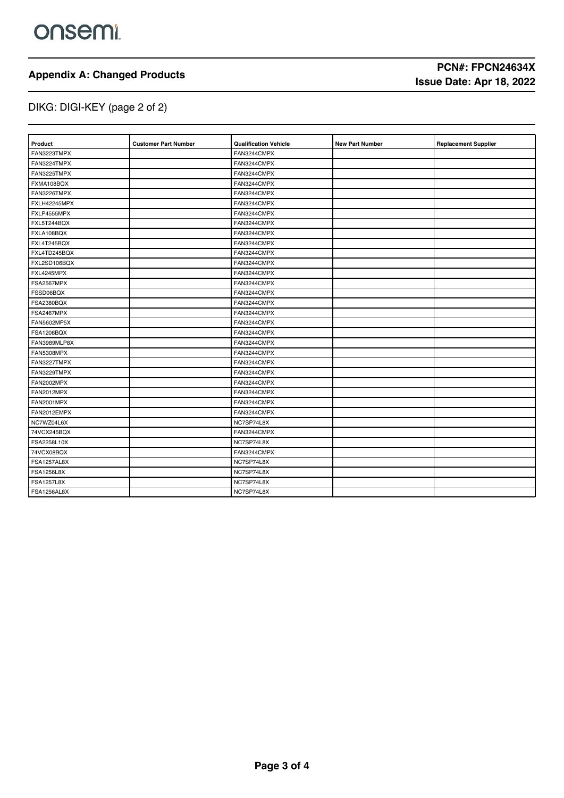# DIKG: DIGI-KEY (page 2 of 2)

### **Product Customer Part Number Qualification Vehicle New Part Number Replacement Supplier** FAN3223TMPX FAN3244CMPX FAN3224TMPX FAN3244CMPX FAN3225TMPX FAN3244CMPX FXMA108BQX FAN3244CMPX FAN3226TMPX FAN3244CMPX **FXLH42245MPX** FAN3244CMPX FXLP4555MPX FAN3244CMPX FXL5T244BQX FAN3244CMPX FXLA108BQX FAN3244CMPX FXL4T245BQX FAN3244CMPX FXL4TD245BQX FAN3244CMPX FXL2SD106BQX FAN3244CMPX FXL4245MPX FAN3244CMPX FSA2567MPX FAN3244CMPX FSSD06BQX FAN3244CMPX FSA2380BQX FAN3244CMPX FSA2467MPX FAN3244CMPX FAN5602MP5X FAN3244CMPX FSA1208BQX FAN3244CMPX FAN3989MLP8X FAN3244CMPX FAN5308MPX FAN3244CMPX FAN3227TMPX FAN3244CMPX FAN3229TMPX FAN3244CMPX FAN2002MPX FAN3244CMPX FAN2012MPX FAN2012MPX FAN2001MPX FAN2001MPX FAN3244CMPX FAN2012EMPX FAN2012EMPX NC7WZ04L6X REPORT NOT NOT SERVED ASSESSED. T4VCX245BQX<br>
FAN3244CMPX FSA2258L10X NC7SP74L8X T4VCX08BQX FAN3244CMPX FSA1257AL8X NC7SP74L8X example.com and the contract of the contract of the contract of the contract of the contract of the contract of the contract of the contract of the contract of the contract of the contract of the contract of the contract o FSA1257L8X NC7SP74L8X FSA1256AL8X NC7SP74L8X

# **Appendix A: Changed Products PCN#: FPCN24634X**<br> **PCN#: FPCN24634X**<br> **PCN#: FPCN24634X Issue Date: Apr 18, 2022**